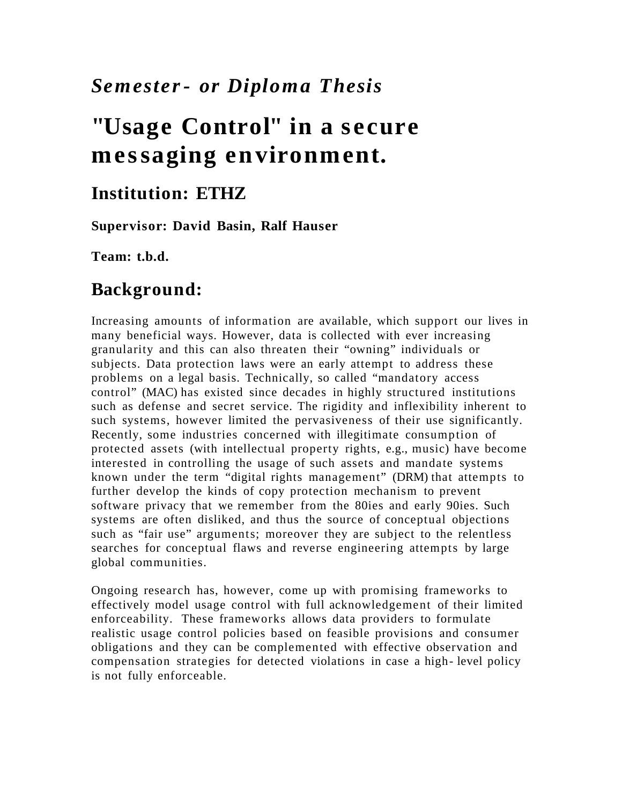## *Semester- or Diploma Thesis*

# **"Usage Control" in a s ecure me ssaging environment.**

#### **Institution: ETHZ**

**Supervisor: David Basin, Ralf Hauser**

**Team: t.b.d.**

#### **Background:**

Increasing amounts of information are available, which support our lives in many beneficial ways. However, data is collected with ever increasing granularity and this can also threaten their "owning" individuals or subjects. Data protection laws were an early attempt to address these problems on a legal basis. Technically, so called "mandatory access control" (MAC) has existed since decades in highly structured institutions such as defense and secret service. The rigidity and inflexibility inherent to such systems, however limited the pervasiveness of their use significantly. Recently, some industries concerned with illegitimate consumption of protected assets (with intellectual property rights, e.g., music) have become interested in controlling the usage of such assets and mandate systems known under the term "digital rights management" (DRM) that attempts to further develop the kinds of copy protection mechanism to prevent software privacy that we remember from the 80ies and early 90ies. Such systems are often disliked, and thus the source of conceptual objections such as "fair use" arguments; moreover they are subject to the relentless searches for conceptual flaws and reverse engineering attempts by large global communities.

Ongoing research has, however, come up with promising frameworks to effectively model usage control with full acknowledgement of their limited enforceability. These frameworks allows data providers to formulate realistic usage control policies based on feasible provisions and consumer obligations and they can be complemented with effective observation and compensation strategies for detected violations in case a high- level policy is not fully enforceable.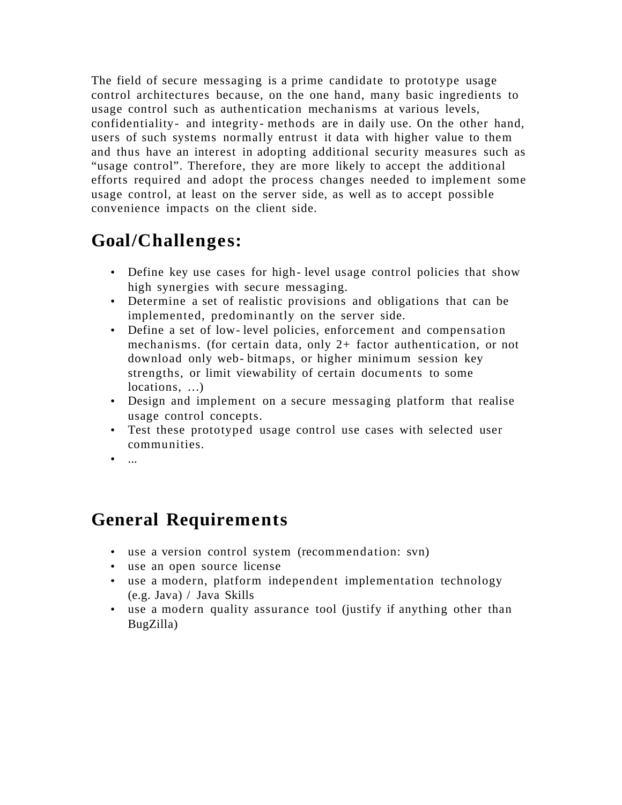The field of secure messaging is a prime candidate to prototype usage control architectures because, on the one hand, many basic ingredients to usage control such as authentication mechanisms at various levels, confidentiality- and integrity- methods are in daily use. On the other hand, users of such systems normally entrust it data with higher value to them and thus have an interest in adopting additional security measures such as "usage control". Therefore, they are more likely to accept the additional efforts required and adopt the process changes needed to implement some usage control, at least on the server side, as well as to accept possible convenience impacts on the client side.

## **Goal/Challenges:**

- Define key use cases for high- level usage control policies that show high synergies with secure messaging.
- Determine a set of realistic provisions and obligations that can be implemented, predominantly on the server side.
- Define a set of low- level policies, enforcement and compensation mechanisms. (for certain data, only 2+ factor authentication, or not download only web- bitmaps, or higher minimum session key strengths, or limit viewability of certain documents to some locations, …)
- Design and implement on a secure messaging platform that realise usage control concepts.
- Test these prototyped usage control use cases with selected user communities.
- $\overline{\phantom{a}}$

### **General Requirements**

- use a version control system (recommendation: svn)
- use an open source license
- use a modern, platform independent implementation technology (e.g. Java) / Java Skills
- use a modern quality assurance tool (justify if anything other than BugZilla)